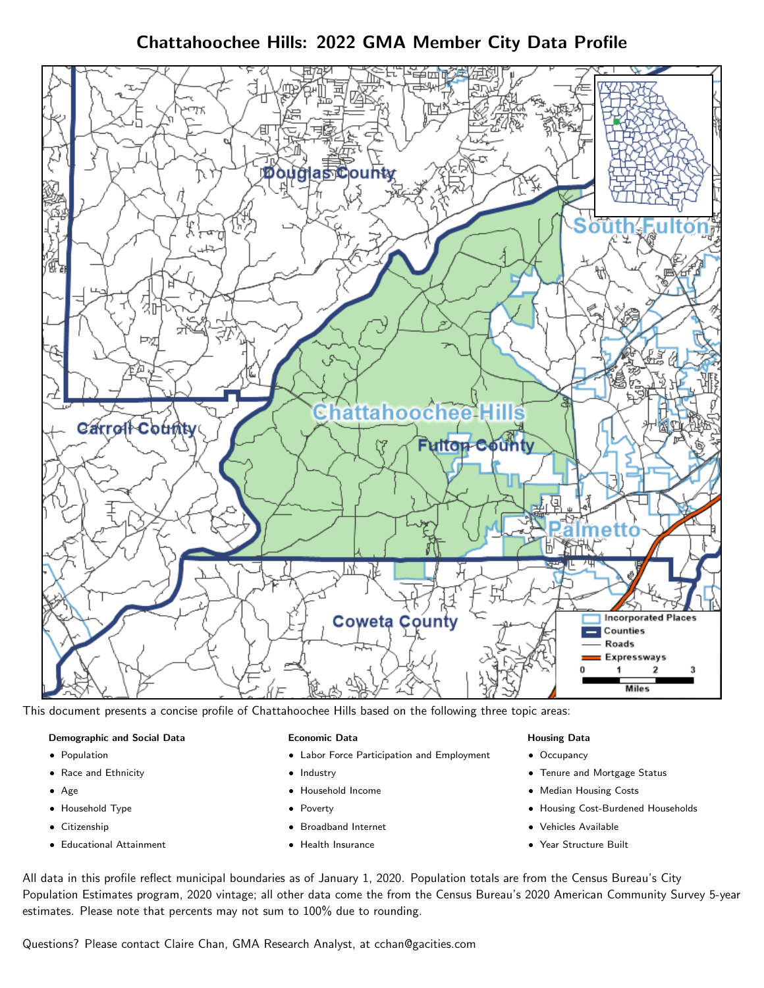Chattahoochee Hills: 2022 GMA Member City Data Profile



This document presents a concise profile of Chattahoochee Hills based on the following three topic areas:

## Demographic and Social Data

- **•** Population
- Race and Ethnicity
- Age
- Household Type
- **Citizenship**
- Educational Attainment

#### Economic Data

- Labor Force Participation and Employment
- Industry
- Household Income
- Poverty
- Broadband Internet
- Health Insurance

## Housing Data

- Occupancy
- Tenure and Mortgage Status
- Median Housing Costs
- Housing Cost-Burdened Households
- Vehicles Available
- Year Structure Built

All data in this profile reflect municipal boundaries as of January 1, 2020. Population totals are from the Census Bureau's City Population Estimates program, 2020 vintage; all other data come the from the Census Bureau's 2020 American Community Survey 5-year estimates. Please note that percents may not sum to 100% due to rounding.

Questions? Please contact Claire Chan, GMA Research Analyst, at [cchan@gacities.com.](mailto:cchan@gacities.com)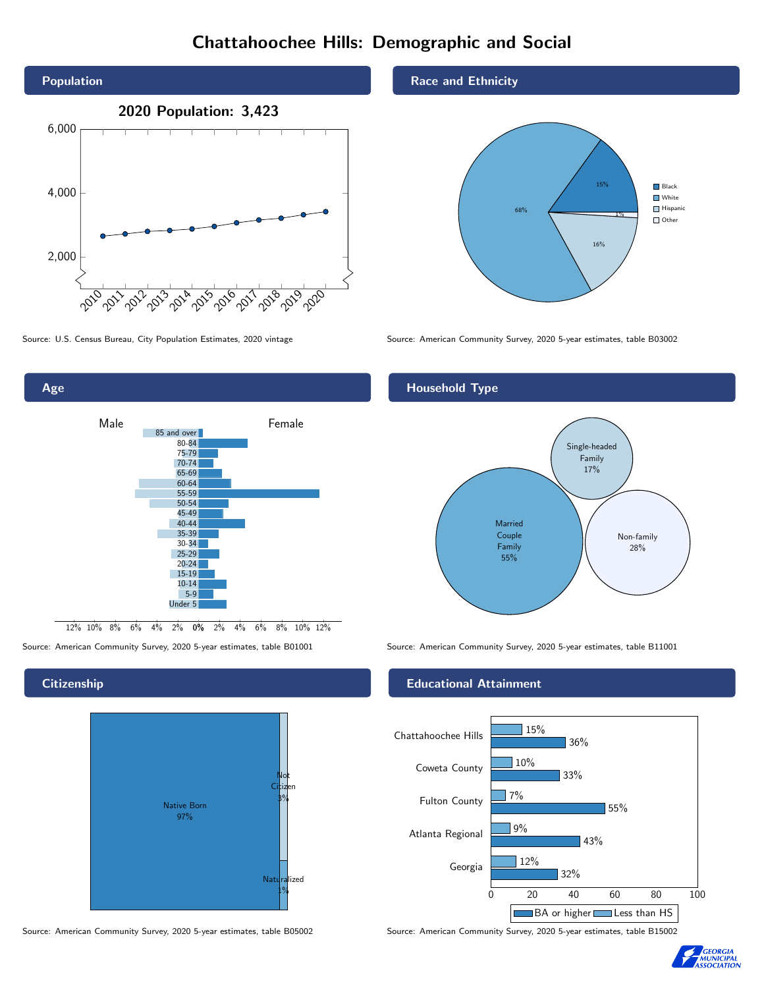# Chattahoochee Hills: Demographic and Social



0% 2% 4% 6% 8% 10% 12% 12% 10% 8% 6% 4% 2% Male **Female** 85 and over 80-84 75-79 70-74 65-69 60-64 55-59 50-54 45-49 40-44 35-39 30-34 25-29 20-24 15-19 10-14 5-9 Under 5

### **Citizenship**

Age



Source: American Community Survey, 2020 5-year estimates, table B05002 Source: American Community Survey, 2020 5-year estimates, table B15002

Race and Ethnicity



Source: U.S. Census Bureau, City Population Estimates, 2020 vintage Source: American Community Survey, 2020 5-year estimates, table B03002

### Household Type



Source: American Community Survey, 2020 5-year estimates, table B01001 Source: American Community Survey, 2020 5-year estimates, table B11001

### Educational Attainment



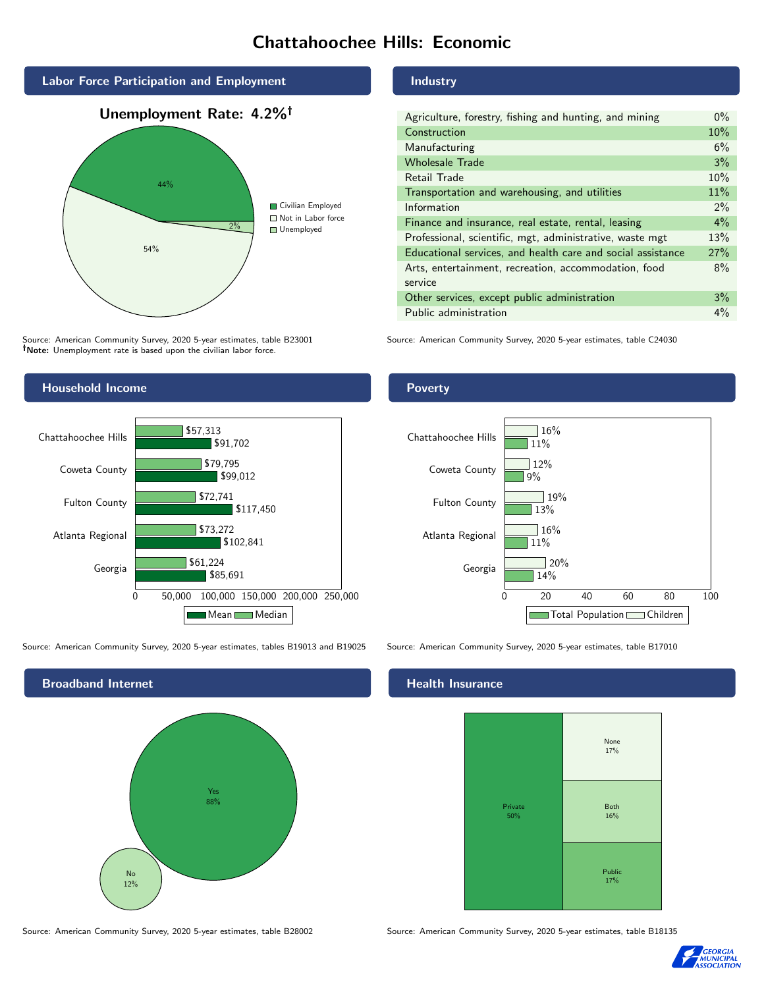## Chattahoochee Hills: Economic



Source: American Community Survey, 2020 5-year estimates, table B23001 Note: Unemployment rate is based upon the civilian labor force.

## Household Income



Source: American Community Survey, 2020 5-year estimates, tables B19013 and B19025 Source: American Community Survey, 2020 5-year estimates, table B17010



Source: American Community Survey, 2020 5-year estimates, table B28002 Source: American Community Survey, 2020 5-year estimates, table B18135

#### Industry

| Agriculture, forestry, fishing and hunting, and mining      | $0\%$ |
|-------------------------------------------------------------|-------|
| Construction                                                | 10%   |
| Manufacturing                                               | 6%    |
| <b>Wholesale Trade</b>                                      | 3%    |
| Retail Trade                                                | 10%   |
| Transportation and warehousing, and utilities               | 11%   |
| Information                                                 | $2\%$ |
| Finance and insurance, real estate, rental, leasing         | $4\%$ |
| Professional, scientific, mgt, administrative, waste mgt    | 13%   |
| Educational services, and health care and social assistance | 27%   |
| Arts, entertainment, recreation, accommodation, food        | 8%    |
| service                                                     |       |
| Other services, except public administration                | 3%    |
| Public administration                                       | $4\%$ |

Source: American Community Survey, 2020 5-year estimates, table C24030

## Poverty



#### Health Insurance